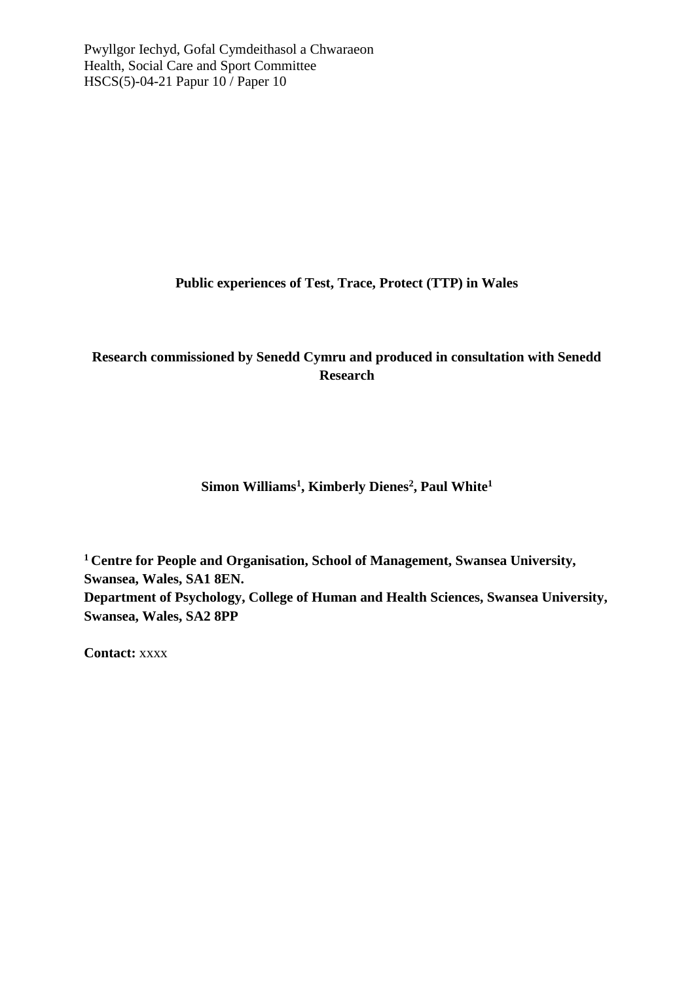**Public experiences of Test, Trace, Protect (TTP) in Wales**

# **Research commissioned by Senedd Cymru and produced in consultation with Senedd Research**

**Simon Williams<sup>1</sup> , Kimberly Dienes<sup>2</sup> , Paul White<sup>1</sup>**

**<sup>1</sup>Centre for People and Organisation, School of Management, Swansea University, Swansea, Wales, SA1 8EN. Department of Psychology, College of Human and Health Sciences, Swansea University, Swansea, Wales, SA2 8PP**

**Contact:** xxxx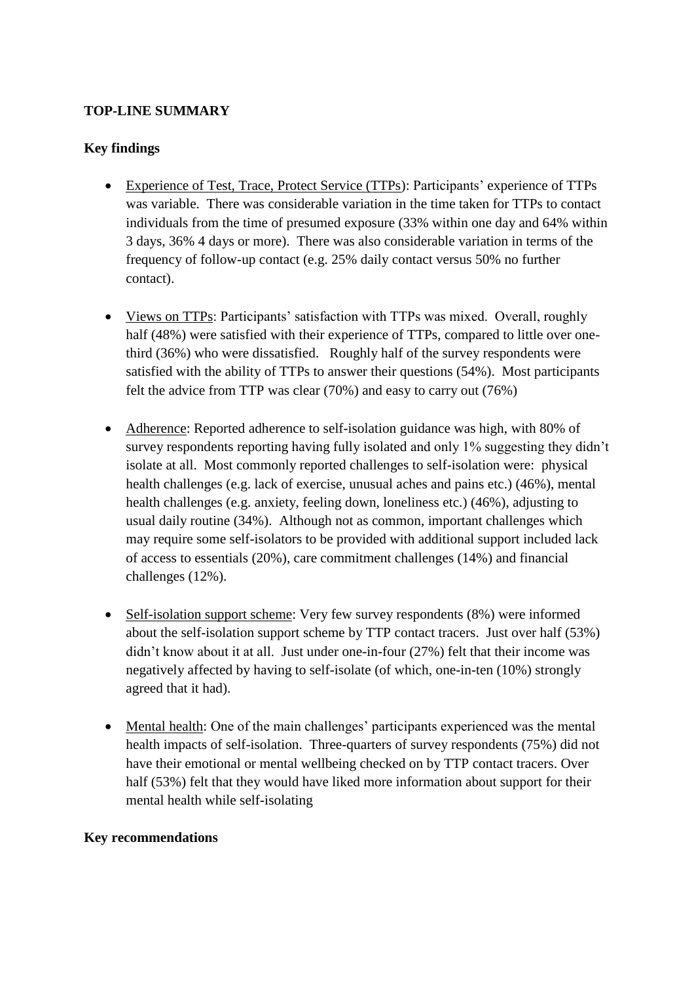## **TOP-LINE SUMMARY**

## **Key findings**

- Experience of Test, Trace, Protect Service (TTPs): Participants' experience of TTPs was variable. There was considerable variation in the time taken for TTPs to contact individuals from the time of presumed exposure (33% within one day and 64% within 3 days, 36% 4 days or more). There was also considerable variation in terms of the frequency of follow-up contact (e.g. 25% daily contact versus 50% no further contact).
- Views on TTPs: Participants' satisfaction with TTPs was mixed. Overall, roughly half (48%) were satisfied with their experience of TTPs, compared to little over onethird (36%) who were dissatisfied. Roughly half of the survey respondents were satisfied with the ability of TTPs to answer their questions (54%). Most participants felt the advice from TTP was clear (70%) and easy to carry out (76%)
- Adherence: Reported adherence to self-isolation guidance was high, with 80% of survey respondents reporting having fully isolated and only 1% suggesting they didn't isolate at all. Most commonly reported challenges to self-isolation were: physical health challenges (e.g. lack of exercise, unusual aches and pains etc.) (46%), mental health challenges (e.g. anxiety, feeling down, loneliness etc.) (46%), adjusting to usual daily routine (34%). Although not as common, important challenges which may require some self-isolators to be provided with additional support included lack of access to essentials (20%), care commitment challenges (14%) and financial challenges (12%).
- Self-isolation support scheme: Very few survey respondents (8%) were informed about the self-isolation support scheme by TTP contact tracers. Just over half (53%) didn't know about it at all. Just under one-in-four (27%) felt that their income was negatively affected by having to self-isolate (of which, one-in-ten (10%) strongly agreed that it had).
- Mental health: One of the main challenges' participants experienced was the mental health impacts of self-isolation. Three-quarters of survey respondents (75%) did not have their emotional or mental wellbeing checked on by TTP contact tracers. Over half (53%) felt that they would have liked more information about support for their mental health while self-isolating

## **Key recommendations**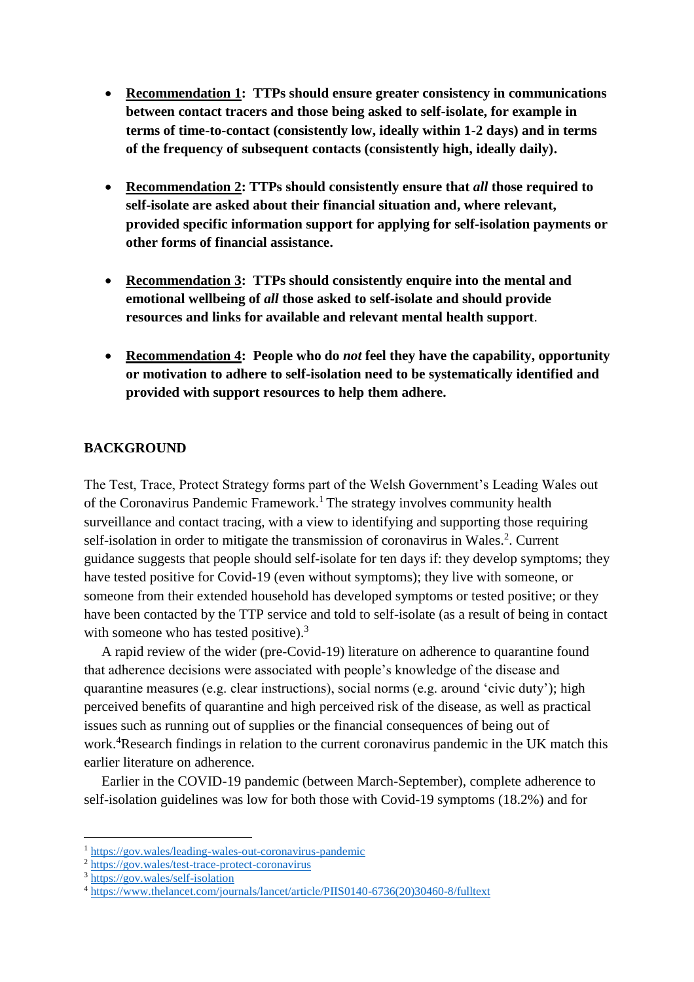- **Recommendation 1: TTPs should ensure greater consistency in communications between contact tracers and those being asked to self-isolate, for example in terms of time-to-contact (consistently low, ideally within 1-2 days) and in terms of the frequency of subsequent contacts (consistently high, ideally daily).**
- **Recommendation 2: TTPs should consistently ensure that** *all* **those required to self-isolate are asked about their financial situation and, where relevant, provided specific information support for applying for self-isolation payments or other forms of financial assistance.**
- **Recommendation 3: TTPs should consistently enquire into the mental and emotional wellbeing of** *all* **those asked to self-isolate and should provide resources and links for available and relevant mental health support**.
- **Recommendation 4: People who do** *not* **feel they have the capability, opportunity or motivation to adhere to self-isolation need to be systematically identified and provided with support resources to help them adhere.**

### **BACKGROUND**

The Test, Trace, Protect Strategy forms part of the Welsh Government's Leading Wales out of the Coronavirus Pandemic Framework. <sup>1</sup> The strategy involves community health surveillance and contact tracing, with a view to identifying and supporting those requiring self-isolation in order to mitigate the transmission of coronavirus in Wales.<sup>2</sup>. Current guidance suggests that people should self-isolate for ten days if: they develop symptoms; they have tested positive for Covid-19 (even without symptoms); they live with someone, or someone from their extended household has developed symptoms or tested positive; or they have been contacted by the TTP service and told to self-isolate (as a result of being in contact with someone who has tested positive).<sup>3</sup>

 A rapid review of the wider (pre-Covid-19) literature on adherence to quarantine found that adherence decisions were associated with people's knowledge of the disease and quarantine measures (e.g. clear instructions), social norms (e.g. around 'civic duty'); high perceived benefits of quarantine and high perceived risk of the disease, as well as practical issues such as running out of supplies or the financial consequences of being out of work. <sup>4</sup>Research findings in relation to the current coronavirus pandemic in the UK match this earlier literature on adherence.

 Earlier in the COVID-19 pandemic (between March-September), complete adherence to self-isolation guidelines was low for both those with Covid-19 symptoms (18.2%) and for

 $\overline{a}$ 

<sup>1</sup> <https://gov.wales/leading-wales-out-coronavirus-pandemic>

<sup>2</sup> <https://gov.wales/test-trace-protect-coronavirus>

<sup>3</sup> <https://gov.wales/self-isolation>

<sup>4</sup> [https://www.thelancet.com/journals/lancet/article/PIIS0140-6736\(20\)30460-8/fulltext](https://www.thelancet.com/journals/lancet/article/PIIS0140-6736(20)30460-8/fulltext)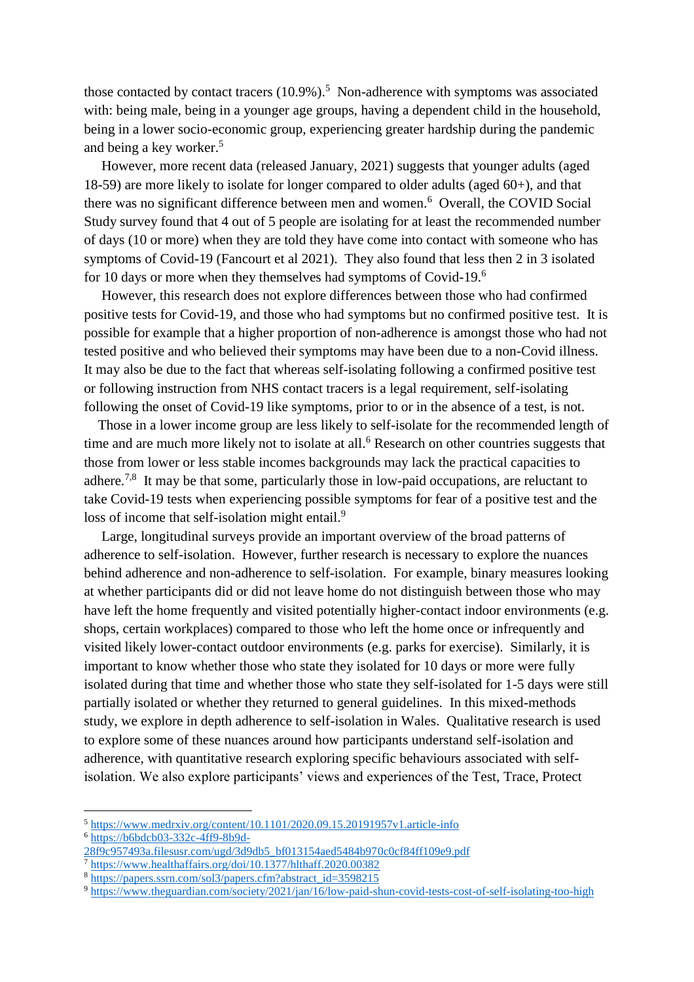those contacted by contact tracers  $(10.9\%)$ .<sup>5</sup> Non-adherence with symptoms was associated with: being male, being in a younger age groups, having a dependent child in the household, being in a lower socio-economic group, experiencing greater hardship during the pandemic and being a key worker. 5

 However, more recent data (released January, 2021) suggests that younger adults (aged 18-59) are more likely to isolate for longer compared to older adults (aged 60+), and that there was no significant difference between men and women. 6 Overall, the COVID Social Study survey found that 4 out of 5 people are isolating for at least the recommended number of days (10 or more) when they are told they have come into contact with someone who has symptoms of Covid-19 (Fancourt et al 2021). They also found that less then 2 in 3 isolated for 10 days or more when they themselves had symptoms of Covid-19.<sup>6</sup>

 However, this research does not explore differences between those who had confirmed positive tests for Covid-19, and those who had symptoms but no confirmed positive test. It is possible for example that a higher proportion of non-adherence is amongst those who had not tested positive and who believed their symptoms may have been due to a non-Covid illness. It may also be due to the fact that whereas self-isolating following a confirmed positive test or following instruction from NHS contact tracers is a legal requirement, self-isolating following the onset of Covid-19 like symptoms, prior to or in the absence of a test, is not.

 Those in a lower income group are less likely to self-isolate for the recommended length of time and are much more likely not to isolate at all.<sup>6</sup> Research on other countries suggests that those from lower or less stable incomes backgrounds may lack the practical capacities to adhere.<sup>7,8</sup> It may be that some, particularly those in low-paid occupations, are reluctant to take Covid-19 tests when experiencing possible symptoms for fear of a positive test and the loss of income that self-isolation might entail.<sup>9</sup>

 Large, longitudinal surveys provide an important overview of the broad patterns of adherence to self-isolation. However, further research is necessary to explore the nuances behind adherence and non-adherence to self-isolation. For example, binary measures looking at whether participants did or did not leave home do not distinguish between those who may have left the home frequently and visited potentially higher-contact indoor environments (e.g. shops, certain workplaces) compared to those who left the home once or infrequently and visited likely lower-contact outdoor environments (e.g. parks for exercise). Similarly, it is important to know whether those who state they isolated for 10 days or more were fully isolated during that time and whether those who state they self-isolated for 1-5 days were still partially isolated or whether they returned to general guidelines. In this mixed-methods study, we explore in depth adherence to self-isolation in Wales. Qualitative research is used to explore some of these nuances around how participants understand self-isolation and adherence, with quantitative research exploring specific behaviours associated with selfisolation. We also explore participants' views and experiences of the Test, Trace, Protect

 $\overline{a}$ 

<sup>5</sup> <https://www.medrxiv.org/content/10.1101/2020.09.15.20191957v1.article-info>

<sup>6</sup> [https://b6bdcb03-332c-4ff9-8b9d-](https://b6bdcb03-332c-4ff9-8b9d-28f9c957493a.filesusr.com/ugd/3d9db5_bf013154aed5484b970c0cf84ff109e9.pdf)

[<sup>28</sup>f9c957493a.filesusr.com/ugd/3d9db5\\_bf013154aed5484b970c0cf84ff109e9.pdf](https://b6bdcb03-332c-4ff9-8b9d-28f9c957493a.filesusr.com/ugd/3d9db5_bf013154aed5484b970c0cf84ff109e9.pdf)

<sup>&</sup>lt;sup>7</sup> <https://www.healthaffairs.org/doi/10.1377/hlthaff.2020.00382>

<sup>8</sup> [https://papers.ssrn.com/sol3/papers.cfm?abstract\\_id=3598215](https://papers.ssrn.com/sol3/papers.cfm?abstract_id=3598215)

<sup>9</sup> <https://www.theguardian.com/society/2021/jan/16/low-paid-shun-covid-tests-cost-of-self-isolating-too-high>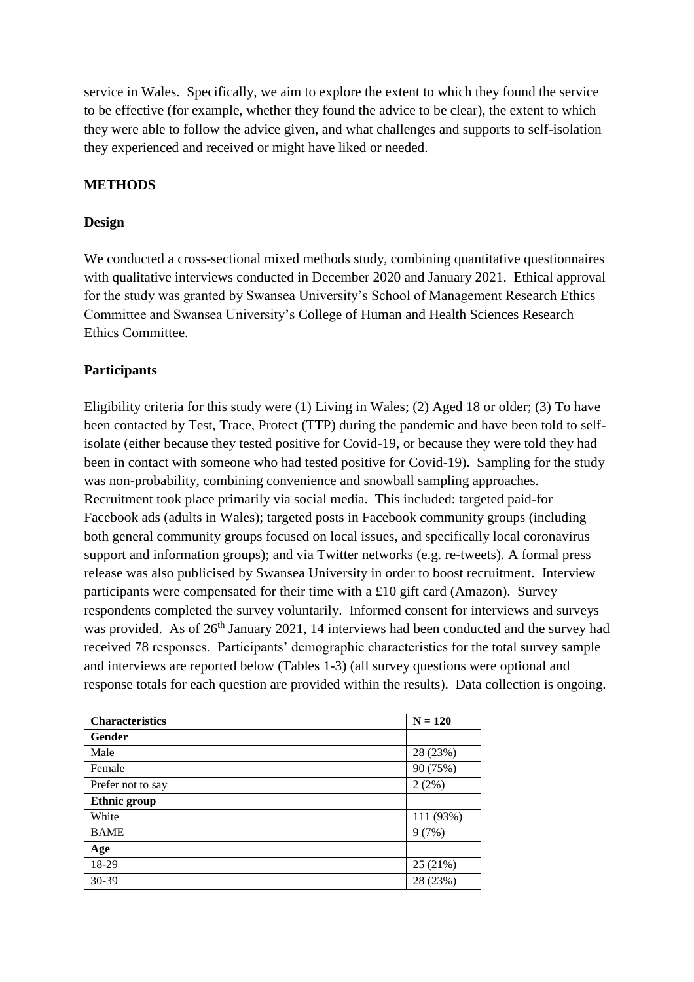service in Wales. Specifically, we aim to explore the extent to which they found the service to be effective (for example, whether they found the advice to be clear), the extent to which they were able to follow the advice given, and what challenges and supports to self-isolation they experienced and received or might have liked or needed.

## **METHODS**

### **Design**

We conducted a cross-sectional mixed methods study, combining quantitative questionnaires with qualitative interviews conducted in December 2020 and January 2021. Ethical approval for the study was granted by Swansea University's School of Management Research Ethics Committee and Swansea University's College of Human and Health Sciences Research Ethics Committee.

## **Participants**

Eligibility criteria for this study were (1) Living in Wales; (2) Aged 18 or older; (3) To have been contacted by Test, Trace, Protect (TTP) during the pandemic and have been told to selfisolate (either because they tested positive for Covid-19, or because they were told they had been in contact with someone who had tested positive for Covid-19). Sampling for the study was non-probability, combining convenience and snowball sampling approaches. Recruitment took place primarily via social media. This included: targeted paid-for Facebook ads (adults in Wales); targeted posts in Facebook community groups (including both general community groups focused on local issues, and specifically local coronavirus support and information groups); and via Twitter networks (e.g. re-tweets). A formal press release was also publicised by Swansea University in order to boost recruitment. Interview participants were compensated for their time with a £10 gift card (Amazon). Survey respondents completed the survey voluntarily. Informed consent for interviews and surveys was provided. As of 26<sup>th</sup> January 2021, 14 interviews had been conducted and the survey had received 78 responses. Participants' demographic characteristics for the total survey sample and interviews are reported below (Tables 1-3) (all survey questions were optional and response totals for each question are provided within the results). Data collection is ongoing.

| <b>Characteristics</b> | $N = 120$ |
|------------------------|-----------|
| Gender                 |           |
| Male                   | 28 (23%)  |
| Female                 | 90 (75%)  |
| Prefer not to say      | 2(2%)     |
| <b>Ethnic group</b>    |           |
| White                  | 111 (93%) |
| <b>BAME</b>            | 9(7%)     |
| Age                    |           |
| 18-29                  | 25 (21%)  |
| 30-39                  | 28 (23%)  |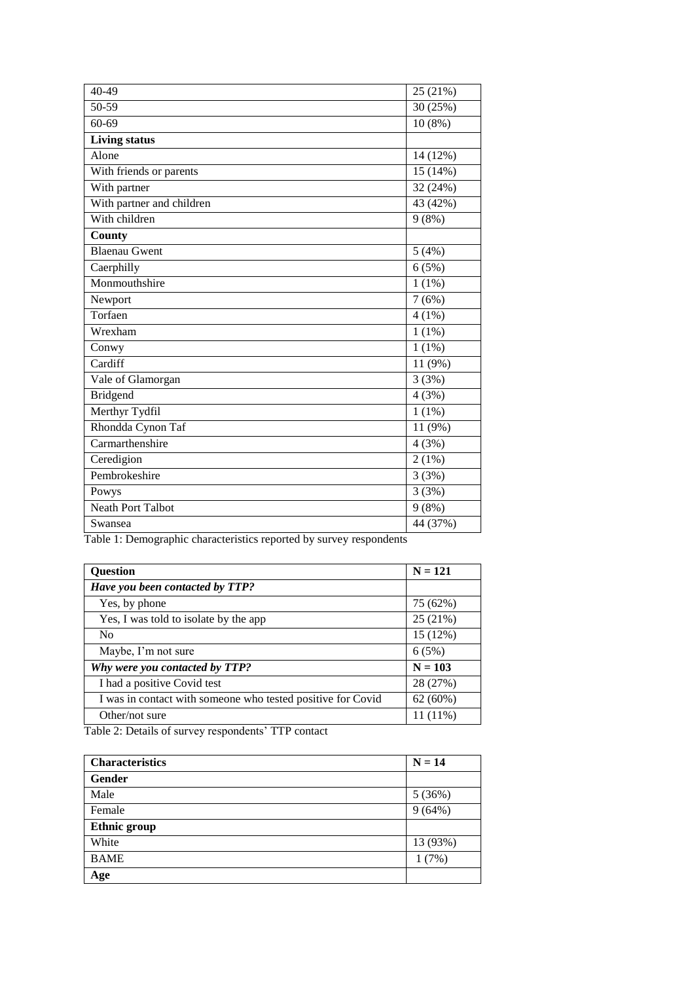| 40-49                     | 25 (21%)  |
|---------------------------|-----------|
| 50-59                     | 30 (25%)  |
| 60-69                     | $10(8\%)$ |
| <b>Living status</b>      |           |
| Alone                     | 14 (12%)  |
| With friends or parents   | 15 (14%)  |
| With partner              | 32 (24%)  |
| With partner and children | 43 (42%)  |
| With children             | 9(8%)     |
| <b>County</b>             |           |
| <b>Blaenau Gwent</b>      | 5(4%)     |
| Caerphilly                | 6(5%)     |
| Monmouthshire             | $1(1\%)$  |
| Newport                   | 7(6%)     |
| Torfaen                   | $4(1\%)$  |
| Wrexham                   | $1(1\%)$  |
| Conwy                     | $1(1\%)$  |
| Cardiff                   | 11 (9%)   |
| Vale of Glamorgan         | 3(3%)     |
| <b>Bridgend</b>           | 4(3%)     |
| Merthyr Tydfil            | $1(1\%)$  |
| Rhondda Cynon Taf         | 11 (9%)   |
| Carmarthenshire           | 4(3%)     |
| Ceredigion                | 2(1%)     |
| Pembrokeshire             | 3(3%)     |
| Powys                     | 3(3%)     |
| <b>Neath Port Talbot</b>  | 9(8%)     |
| Swansea                   | 44 (37%)  |

Table 1: Demographic characteristics reported by survey respondents

| $N = 121$  |
|------------|
|            |
| 75 (62%)   |
| 25 (21%)   |
| 15 (12%)   |
| 6(5%)      |
| $N = 103$  |
| 28 (27%)   |
| 62 (60%)   |
| $11(11\%)$ |
|            |

Table 2: Details of survey respondents' TTP contact

| <b>Characteristics</b> | $N = 14$ |
|------------------------|----------|
| <b>Gender</b>          |          |
| Male                   | 5(36%)   |
| Female                 | 9(64%)   |
| <b>Ethnic group</b>    |          |
| White                  | 13 (93%) |
| <b>BAME</b>            | 1(7%)    |
| Age                    |          |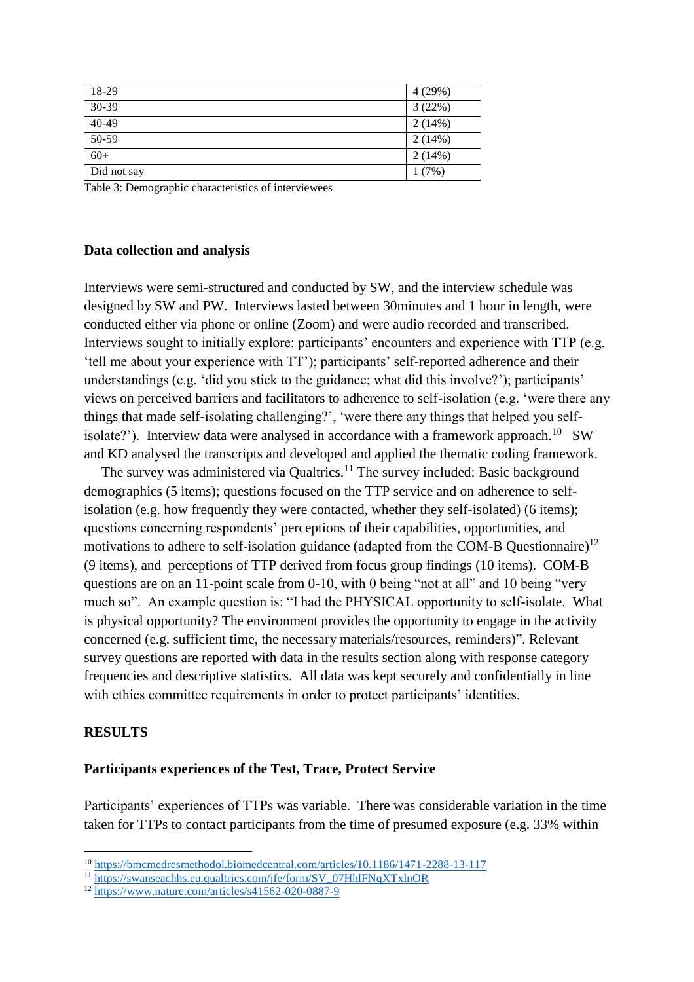| 18-29       | 4(29%) |
|-------------|--------|
| 30-39       | 3(22%) |
| 40-49       | 2(14%) |
| 50-59       | 2(14%) |
| $60+$       | 2(14%) |
| Did not say | 1(7%)  |

Table 3: Demographic characteristics of interviewees

#### **Data collection and analysis**

Interviews were semi-structured and conducted by SW, and the interview schedule was designed by SW and PW. Interviews lasted between 30minutes and 1 hour in length, were conducted either via phone or online (Zoom) and were audio recorded and transcribed. Interviews sought to initially explore: participants' encounters and experience with TTP (e.g. 'tell me about your experience with TT'); participants' self-reported adherence and their understandings (e.g. 'did you stick to the guidance; what did this involve?'); participants' views on perceived barriers and facilitators to adherence to self-isolation (e.g. 'were there any things that made self-isolating challenging?', 'were there any things that helped you selfisolate?'). Interview data were analysed in accordance with a framework approach.<sup>10</sup> SW and KD analysed the transcripts and developed and applied the thematic coding framework.

The survey was administered via Qualtrics.<sup>11</sup> The survey included: Basic background demographics (5 items); questions focused on the TTP service and on adherence to selfisolation (e.g. how frequently they were contacted, whether they self-isolated) (6 items); questions concerning respondents' perceptions of their capabilities, opportunities, and motivations to adhere to self-isolation guidance (adapted from the COM-B Questionnaire)<sup>12</sup> (9 items), and perceptions of TTP derived from focus group findings (10 items). COM-B questions are on an 11-point scale from 0-10, with 0 being "not at all" and 10 being "very much so". An example question is: "I had the PHYSICAL opportunity to self-isolate. What is physical opportunity? The environment provides the opportunity to engage in the activity concerned (e.g. sufficient time, the necessary materials/resources, reminders)". Relevant survey questions are reported with data in the results section along with response category frequencies and descriptive statistics. All data was kept securely and confidentially in line with ethics committee requirements in order to protect participants' identities.

### **RESULTS**

 $\overline{a}$ 

#### **Participants experiences of the Test, Trace, Protect Service**

Participants' experiences of TTPs was variable. There was considerable variation in the time taken for TTPs to contact participants from the time of presumed exposure (e.g. 33% within

<sup>10</sup> <https://bmcmedresmethodol.biomedcentral.com/articles/10.1186/1471-2288-13-117>

<sup>11</sup> [https://swanseachhs.eu.qualtrics.com/jfe/form/SV\\_07HhlFNqXTxlnOR](https://swanseachhs.eu.qualtrics.com/jfe/form/SV_07HhlFNqXTxlnOR)

<sup>12</sup> <https://www.nature.com/articles/s41562-020-0887-9>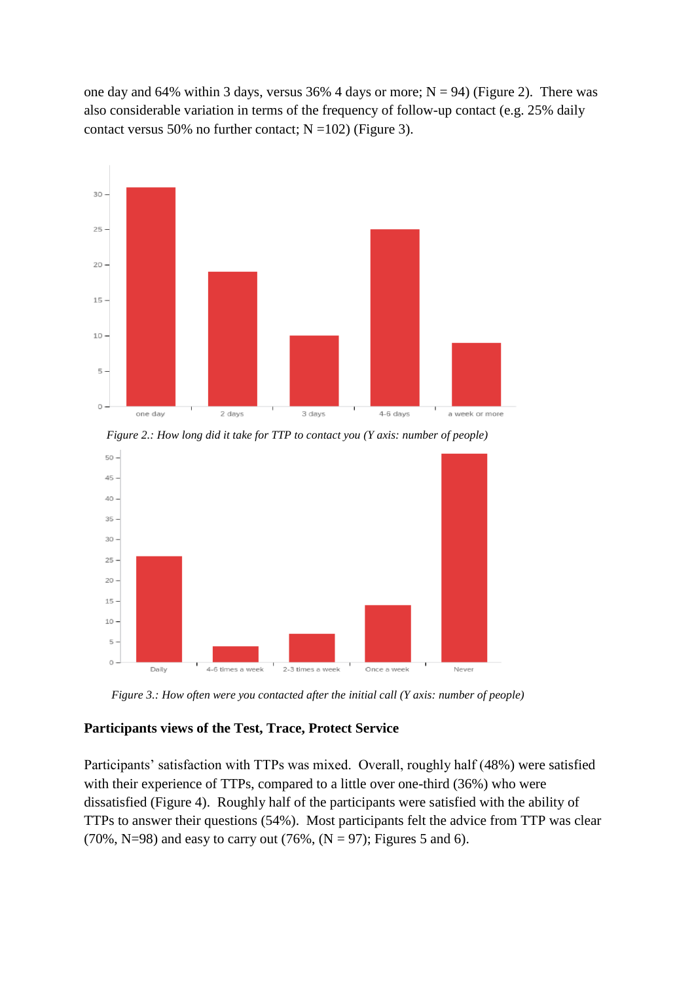one day and 64% within 3 days, versus  $36%$  4 days or more; N = 94) (Figure 2). There was also considerable variation in terms of the frequency of follow-up contact (e.g. 25% daily contact versus 50% no further contact;  $N = 102$ ) (Figure 3).



*Figure 2.: How long did it take for TTP to contact you (Y axis: number of people)*



*Figure 3.: How often were you contacted after the initial call (Y axis: number of people)*

### **Participants views of the Test, Trace, Protect Service**

Participants' satisfaction with TTPs was mixed. Overall, roughly half (48%) were satisfied with their experience of TTPs, compared to a little over one-third (36%) who were dissatisfied (Figure 4). Roughly half of the participants were satisfied with the ability of TTPs to answer their questions (54%). Most participants felt the advice from TTP was clear (70%, N=98) and easy to carry out (76%,  $(N = 97)$ ; Figures 5 and 6).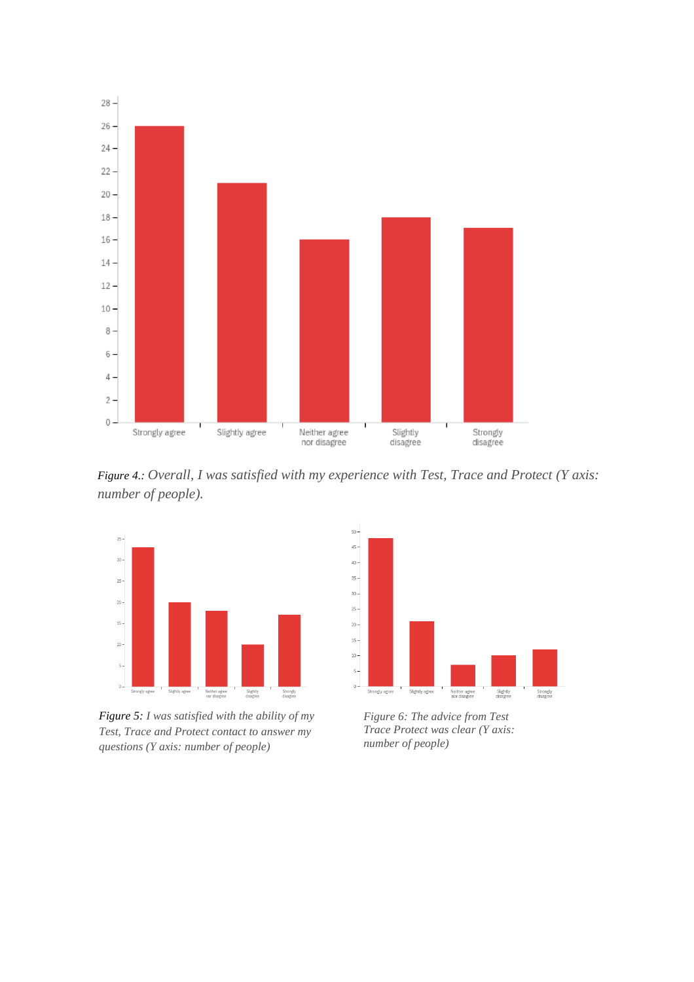

*Figure 4.: Overall, I was satisfied with my experience with Test, Trace and Protect (Y axis: number of people).*



*Figure 5: I was satisfied with the ability of my Test, Trace and Protect contact to answer my questions (Y axis: number of people)*



*Figure 6: The advice from Test Trace Protect was clear (Y axis: number of people)*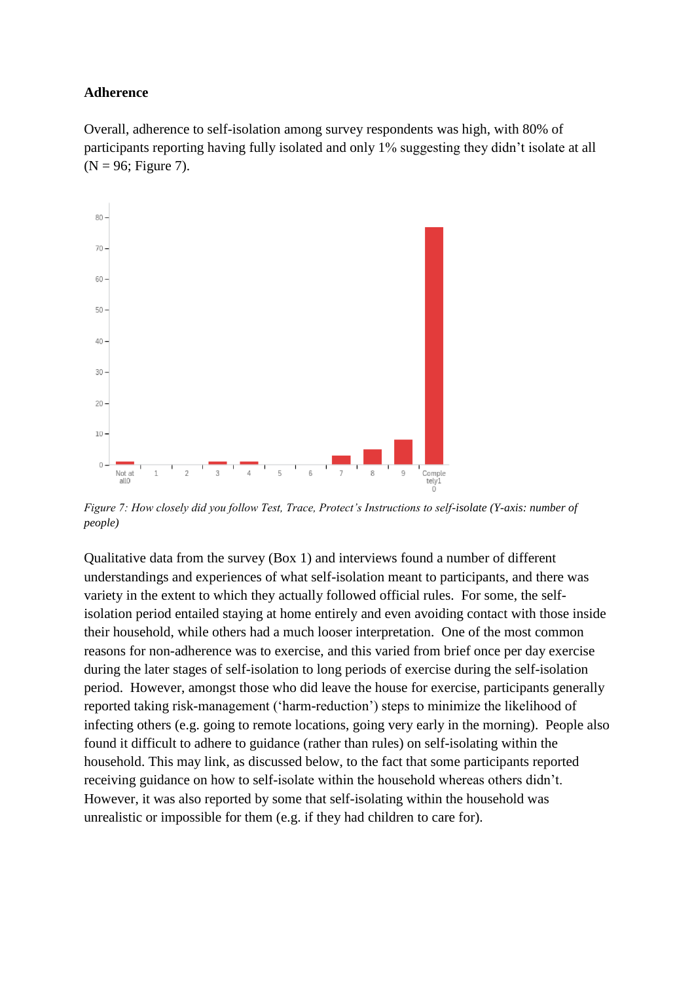#### **Adherence**

Overall, adherence to self-isolation among survey respondents was high, with 80% of participants reporting having fully isolated and only 1% suggesting they didn't isolate at all  $(N = 96;$  Figure 7).



*Figure 7: How closely did you follow Test, Trace, Protect's Instructions to self-isolate (Y-axis: number of people)*

Qualitative data from the survey (Box 1) and interviews found a number of different understandings and experiences of what self-isolation meant to participants, and there was variety in the extent to which they actually followed official rules. For some, the selfisolation period entailed staying at home entirely and even avoiding contact with those inside their household, while others had a much looser interpretation. One of the most common reasons for non-adherence was to exercise, and this varied from brief once per day exercise during the later stages of self-isolation to long periods of exercise during the self-isolation period. However, amongst those who did leave the house for exercise, participants generally reported taking risk-management ('harm-reduction') steps to minimize the likelihood of infecting others (e.g. going to remote locations, going very early in the morning). People also found it difficult to adhere to guidance (rather than rules) on self-isolating within the household. This may link, as discussed below, to the fact that some participants reported receiving guidance on how to self-isolate within the household whereas others didn't. However, it was also reported by some that self-isolating within the household was unrealistic or impossible for them (e.g. if they had children to care for).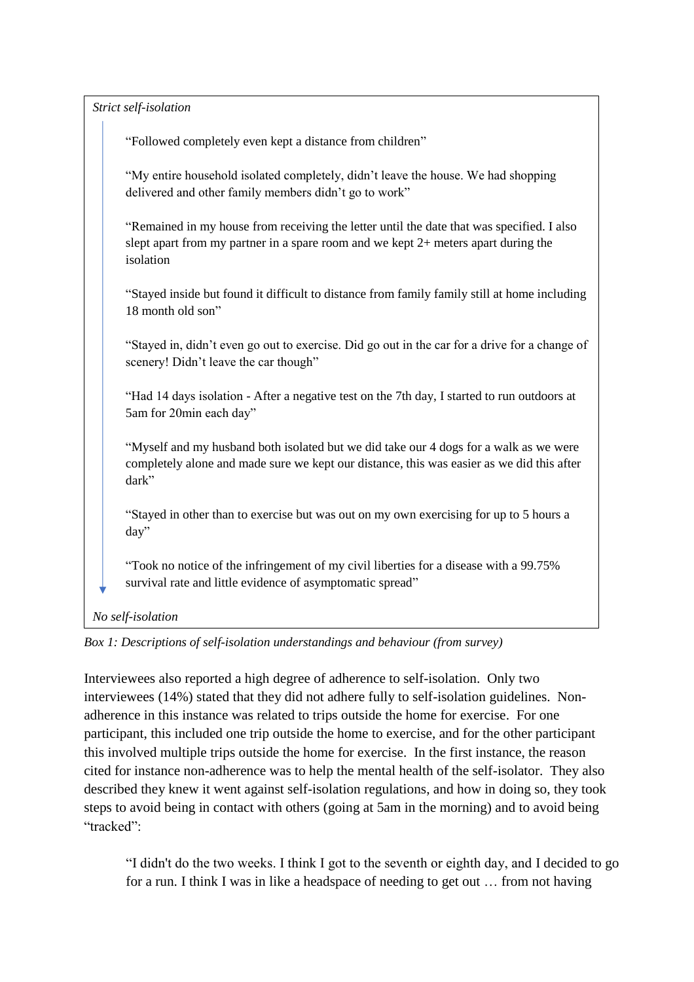| Strict self-isolation                                                                                                                                                                        |
|----------------------------------------------------------------------------------------------------------------------------------------------------------------------------------------------|
| "Followed completely even kept a distance from children"                                                                                                                                     |
| "My entire household isolated completely, didn't leave the house. We had shopping<br>delivered and other family members didn't go to work"                                                   |
| "Remained in my house from receiving the letter until the date that was specified. I also<br>slept apart from my partner in a spare room and we kept 2+ meters apart during the<br>isolation |
| "Stayed inside but found it difficult to distance from family family still at home including<br>18 month old son"                                                                            |
| "Stayed in, didn't even go out to exercise. Did go out in the car for a drive for a change of<br>scenery! Didn't leave the car though"                                                       |
| "Had 14 days isolation - After a negative test on the 7th day, I started to run outdoors at<br>5am for 20min each day"                                                                       |
| "Myself and my husband both isolated but we did take our 4 dogs for a walk as we were<br>completely alone and made sure we kept our distance, this was easier as we did this after<br>dark"  |
| "Stayed in other than to exercise but was out on my own exercising for up to 5 hours a<br>day"                                                                                               |
| "Took no notice of the infringement of my civil liberties for a disease with a 99.75%<br>survival rate and little evidence of asymptomatic spread"                                           |

*Box 1: Descriptions of self-isolation understandings and behaviour (from survey)*

Interviewees also reported a high degree of adherence to self-isolation. Only two interviewees (14%) stated that they did not adhere fully to self-isolation guidelines. Nonadherence in this instance was related to trips outside the home for exercise. For one participant, this included one trip outside the home to exercise, and for the other participant this involved multiple trips outside the home for exercise. In the first instance, the reason cited for instance non-adherence was to help the mental health of the self-isolator. They also described they knew it went against self-isolation regulations, and how in doing so, they took steps to avoid being in contact with others (going at 5am in the morning) and to avoid being "tracked":

"I didn't do the two weeks. I think I got to the seventh or eighth day, and I decided to go for a run. I think I was in like a headspace of needing to get out … from not having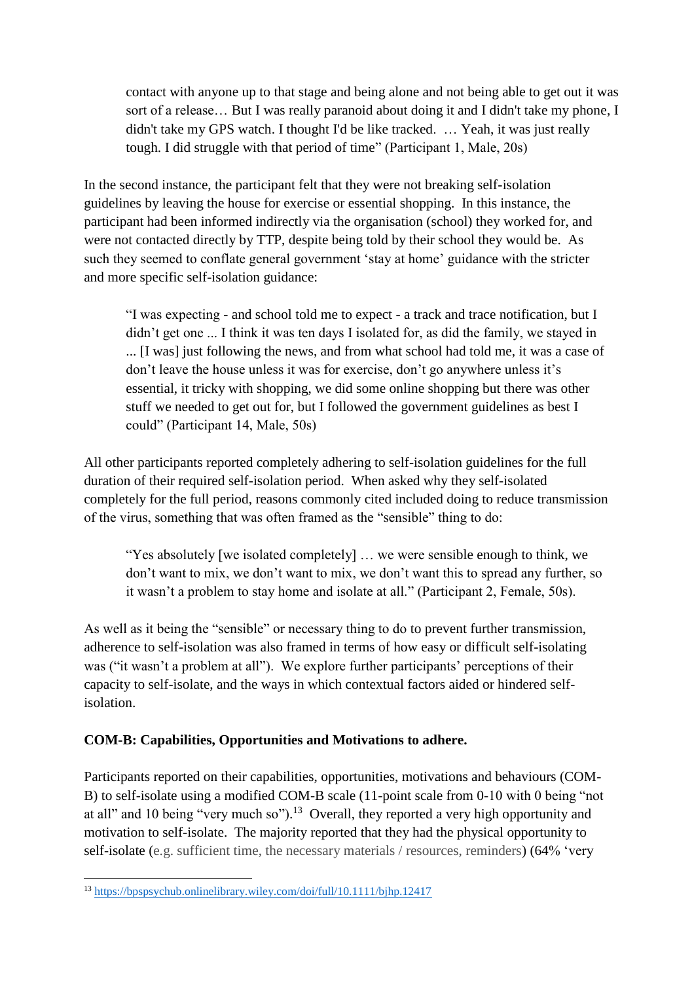contact with anyone up to that stage and being alone and not being able to get out it was sort of a release… But I was really paranoid about doing it and I didn't take my phone, I didn't take my GPS watch. I thought I'd be like tracked. … Yeah, it was just really tough. I did struggle with that period of time" (Participant 1, Male, 20s)

In the second instance, the participant felt that they were not breaking self-isolation guidelines by leaving the house for exercise or essential shopping. In this instance, the participant had been informed indirectly via the organisation (school) they worked for, and were not contacted directly by TTP, despite being told by their school they would be. As such they seemed to conflate general government 'stay at home' guidance with the stricter and more specific self-isolation guidance:

"I was expecting - and school told me to expect - a track and trace notification, but I didn't get one ... I think it was ten days I isolated for, as did the family, we stayed in ... [I was] just following the news, and from what school had told me, it was a case of don't leave the house unless it was for exercise, don't go anywhere unless it's essential, it tricky with shopping, we did some online shopping but there was other stuff we needed to get out for, but I followed the government guidelines as best I could" (Participant 14, Male, 50s)

All other participants reported completely adhering to self-isolation guidelines for the full duration of their required self-isolation period. When asked why they self-isolated completely for the full period, reasons commonly cited included doing to reduce transmission of the virus, something that was often framed as the "sensible" thing to do:

"Yes absolutely [we isolated completely] … we were sensible enough to think, we don't want to mix, we don't want to mix, we don't want this to spread any further, so it wasn't a problem to stay home and isolate at all." (Participant 2, Female, 50s).

As well as it being the "sensible" or necessary thing to do to prevent further transmission, adherence to self-isolation was also framed in terms of how easy or difficult self-isolating was ("it wasn't a problem at all"). We explore further participants' perceptions of their capacity to self-isolate, and the ways in which contextual factors aided or hindered selfisolation.

# **COM-B: Capabilities, Opportunities and Motivations to adhere.**

Participants reported on their capabilities, opportunities, motivations and behaviours (COM-B) to self-isolate using a modified COM-B scale (11-point scale from 0-10 with 0 being "not at all" and 10 being "very much so").<sup>13</sup> Overall, they reported a very high opportunity and motivation to self-isolate. The majority reported that they had the physical opportunity to self-isolate (e.g. sufficient time, the necessary materials / resources, reminders) (64% 'very

 $\overline{a}$ <sup>13</sup> <https://bpspsychub.onlinelibrary.wiley.com/doi/full/10.1111/bjhp.12417>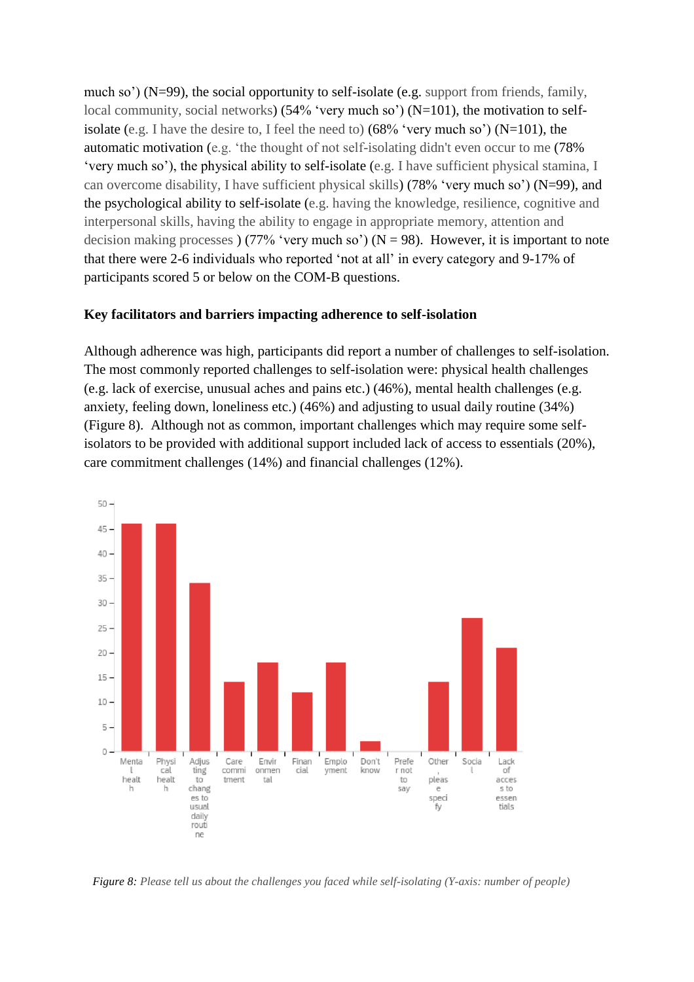much so') (N=99), the social opportunity to self-isolate (e.g. support from friends, family, local community, social networks) (54% 'very much so') (N=101), the motivation to selfisolate (e.g. I have the desire to, I feel the need to) (68% 'very much so') (N=101), the automatic motivation (e.g. 'the thought of not self-isolating didn't even occur to me (78% 'very much so'), the physical ability to self-isolate (e.g. I have sufficient physical stamina, I can overcome disability, I have sufficient physical skills) (78% 'very much so') (N=99), and the psychological ability to self-isolate (e.g. having the knowledge, resilience, cognitive and interpersonal skills, having the ability to engage in appropriate memory, attention and decision making processes ) (77% 'very much so') ( $N = 98$ ). However, it is important to note that there were 2-6 individuals who reported 'not at all' in every category and 9-17% of participants scored 5 or below on the COM-B questions.

### **Key facilitators and barriers impacting adherence to self-isolation**

Although adherence was high, participants did report a number of challenges to self-isolation. The most commonly reported challenges to self-isolation were: physical health challenges (e.g. lack of exercise, unusual aches and pains etc.) (46%), mental health challenges (e.g. anxiety, feeling down, loneliness etc.) (46%) and adjusting to usual daily routine (34%) (Figure 8). Although not as common, important challenges which may require some selfisolators to be provided with additional support included lack of access to essentials (20%), care commitment challenges (14%) and financial challenges (12%).



*Figure 8: Please tell us about the challenges you faced while self-isolating (Y-axis: number of people)*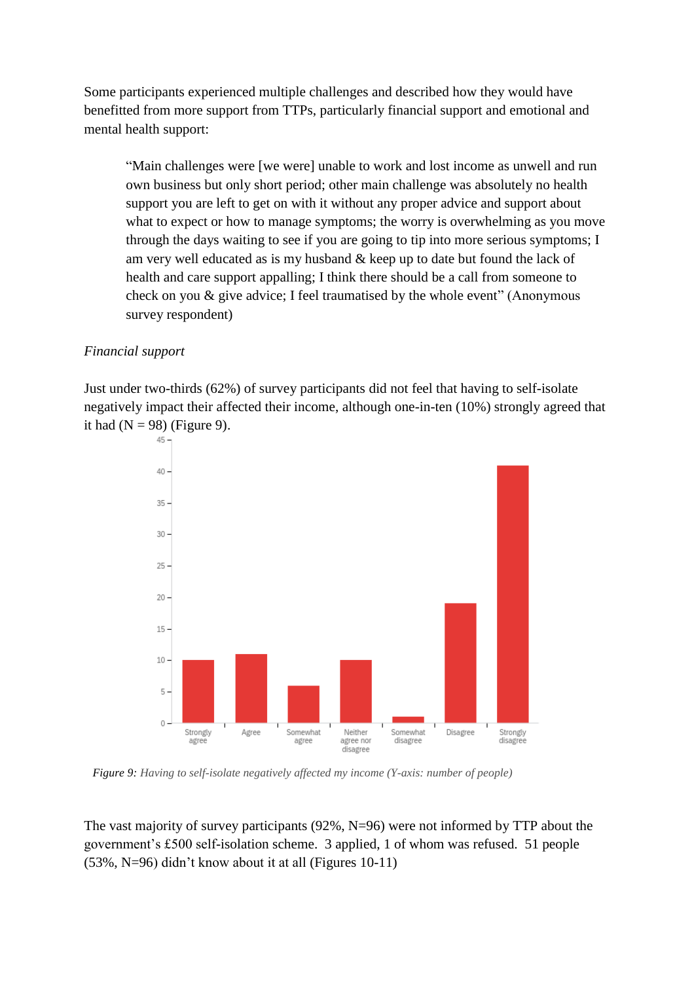Some participants experienced multiple challenges and described how they would have benefitted from more support from TTPs, particularly financial support and emotional and mental health support:

"Main challenges were [we were] unable to work and lost income as unwell and run own business but only short period; other main challenge was absolutely no health support you are left to get on with it without any proper advice and support about what to expect or how to manage symptoms; the worry is overwhelming as you move through the days waiting to see if you are going to tip into more serious symptoms; I am very well educated as is my husband & keep up to date but found the lack of health and care support appalling; I think there should be a call from someone to check on you & give advice; I feel traumatised by the whole event" (Anonymous survey respondent)

### *Financial support*

Just under two-thirds (62%) of survey participants did not feel that having to self-isolate negatively impact their affected their income, although one-in-ten (10%) strongly agreed that it had  $(N = 98)$  (Figure 9).



*Figure 9: Having to self-isolate negatively affected my income (Y-axis: number of people)*

The vast majority of survey participants  $(92\%, N=96)$  were not informed by TTP about the government's £500 self-isolation scheme. 3 applied, 1 of whom was refused. 51 people (53%, N=96) didn't know about it at all (Figures 10-11)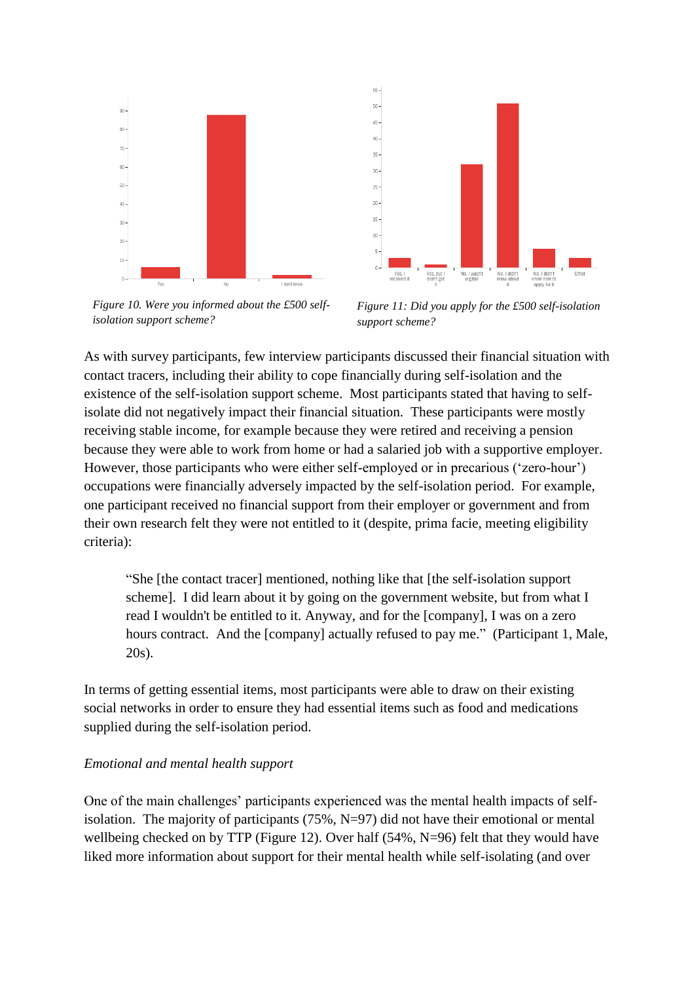



*Figure 10. Were you informed about the £500 selfisolation support scheme?* 

*Figure 11: Did you apply for the £500 self-isolation support scheme?* 

As with survey participants, few interview participants discussed their financial situation with contact tracers, including their ability to cope financially during self-isolation and the existence of the self-isolation support scheme. Most participants stated that having to selfisolate did not negatively impact their financial situation. These participants were mostly receiving stable income, for example because they were retired and receiving a pension because they were able to work from home or had a salaried job with a supportive employer. However, those participants who were either self-employed or in precarious ('zero-hour') occupations were financially adversely impacted by the self-isolation period. For example, one participant received no financial support from their employer or government and from their own research felt they were not entitled to it (despite, prima facie, meeting eligibility criteria):

"She [the contact tracer] mentioned, nothing like that [the self-isolation support scheme]. I did learn about it by going on the government website, but from what I read I wouldn't be entitled to it. Anyway, and for the [company], I was on a zero hours contract. And the [company] actually refused to pay me." (Participant 1, Male, 20s).

In terms of getting essential items, most participants were able to draw on their existing social networks in order to ensure they had essential items such as food and medications supplied during the self-isolation period.

## *Emotional and mental health support*

One of the main challenges' participants experienced was the mental health impacts of selfisolation. The majority of participants  $(75\%, N=97)$  did not have their emotional or mental wellbeing checked on by TTP (Figure 12). Over half (54%, N=96) felt that they would have liked more information about support for their mental health while self-isolating (and over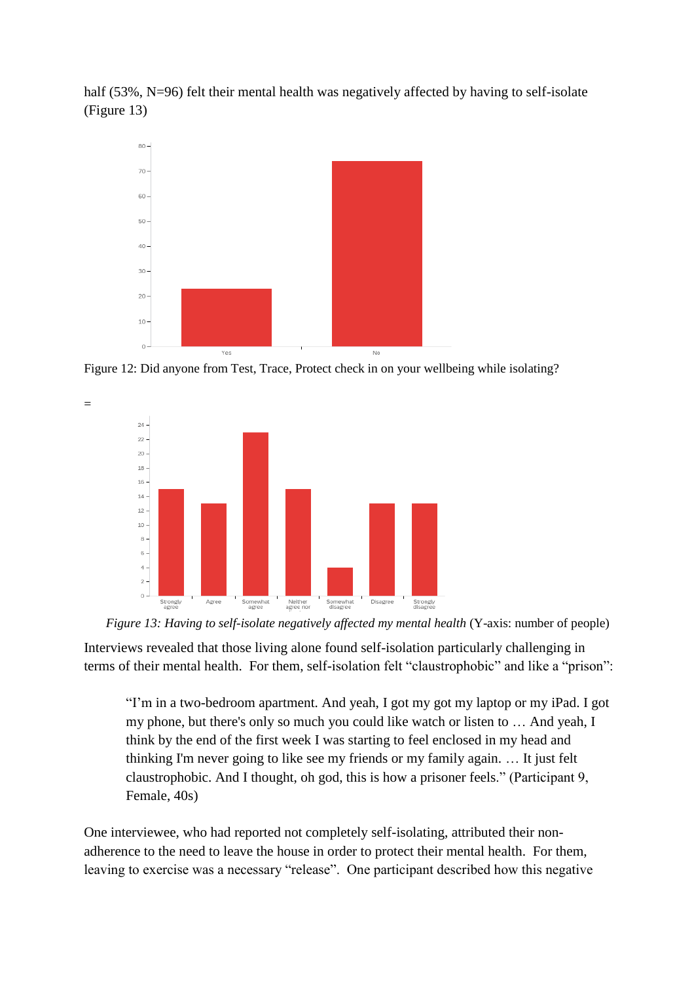half (53%, N=96) felt their mental health was negatively affected by having to self-isolate (Figure 13)



Figure 12: Did anyone from Test, Trace, Protect check in on your wellbeing while isolating?



=



Interviews revealed that those living alone found self-isolation particularly challenging in terms of their mental health. For them, self-isolation felt "claustrophobic" and like a "prison":

"I'm in a two-bedroom apartment. And yeah, I got my got my laptop or my iPad. I got my phone, but there's only so much you could like watch or listen to … And yeah, I think by the end of the first week I was starting to feel enclosed in my head and thinking I'm never going to like see my friends or my family again. … It just felt claustrophobic. And I thought, oh god, this is how a prisoner feels." (Participant 9, Female, 40s)

One interviewee, who had reported not completely self-isolating, attributed their nonadherence to the need to leave the house in order to protect their mental health. For them, leaving to exercise was a necessary "release". One participant described how this negative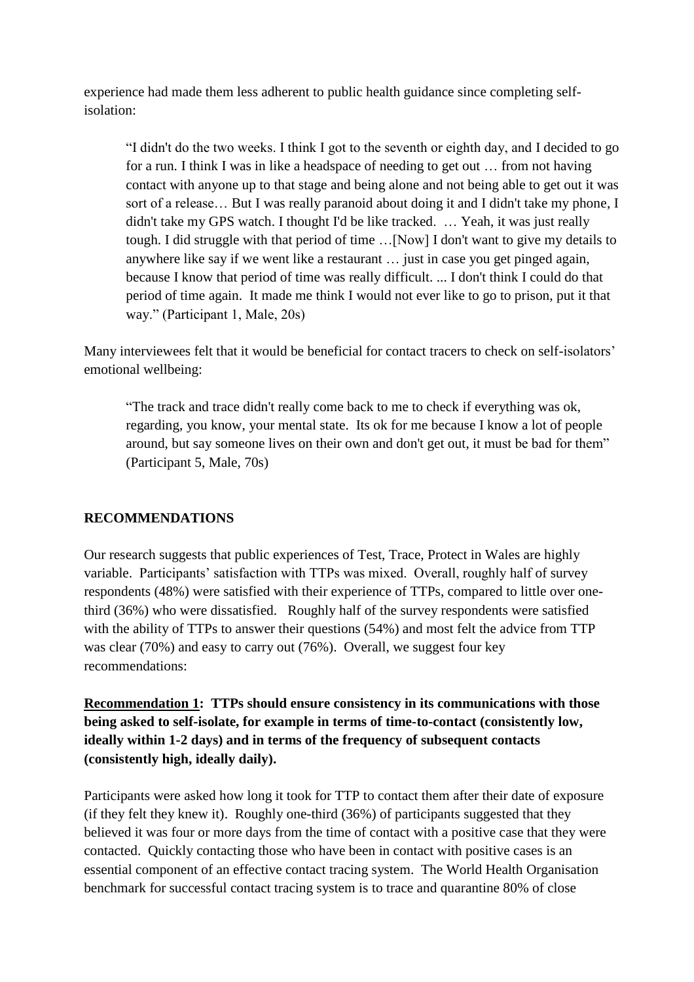experience had made them less adherent to public health guidance since completing selfisolation:

"I didn't do the two weeks. I think I got to the seventh or eighth day, and I decided to go for a run. I think I was in like a headspace of needing to get out … from not having contact with anyone up to that stage and being alone and not being able to get out it was sort of a release… But I was really paranoid about doing it and I didn't take my phone, I didn't take my GPS watch. I thought I'd be like tracked. … Yeah, it was just really tough. I did struggle with that period of time …[Now] I don't want to give my details to anywhere like say if we went like a restaurant … just in case you get pinged again, because I know that period of time was really difficult. ... I don't think I could do that period of time again. It made me think I would not ever like to go to prison, put it that way." (Participant 1, Male, 20s)

Many interviewees felt that it would be beneficial for contact tracers to check on self-isolators' emotional wellbeing:

"The track and trace didn't really come back to me to check if everything was ok, regarding, you know, your mental state. Its ok for me because I know a lot of people around, but say someone lives on their own and don't get out, it must be bad for them" (Participant 5, Male, 70s)

## **RECOMMENDATIONS**

Our research suggests that public experiences of Test, Trace, Protect in Wales are highly variable. Participants' satisfaction with TTPs was mixed. Overall, roughly half of survey respondents (48%) were satisfied with their experience of TTPs, compared to little over onethird (36%) who were dissatisfied. Roughly half of the survey respondents were satisfied with the ability of TTPs to answer their questions (54%) and most felt the advice from TTP was clear (70%) and easy to carry out (76%). Overall, we suggest four key recommendations:

**Recommendation 1: TTPs should ensure consistency in its communications with those being asked to self-isolate, for example in terms of time-to-contact (consistently low, ideally within 1-2 days) and in terms of the frequency of subsequent contacts (consistently high, ideally daily).**

Participants were asked how long it took for TTP to contact them after their date of exposure (if they felt they knew it). Roughly one-third (36%) of participants suggested that they believed it was four or more days from the time of contact with a positive case that they were contacted. Quickly contacting those who have been in contact with positive cases is an essential component of an effective contact tracing system. The World Health Organisation benchmark for successful contact tracing system is to trace and quarantine 80% of close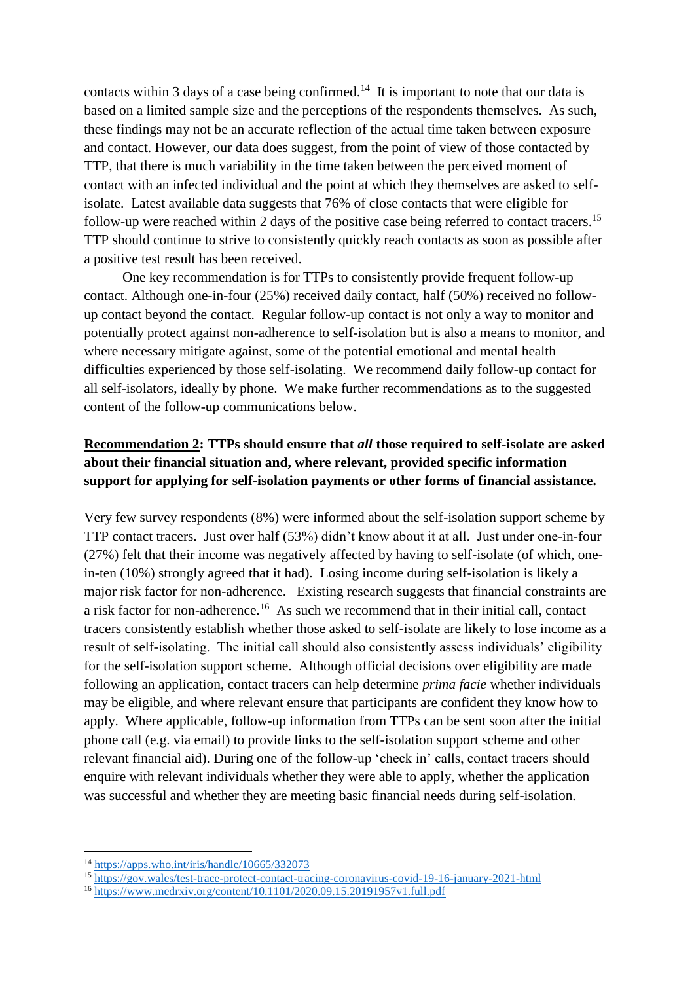contacts within 3 days of a case being confirmed.<sup>14</sup> It is important to note that our data is based on a limited sample size and the perceptions of the respondents themselves. As such, these findings may not be an accurate reflection of the actual time taken between exposure and contact. However, our data does suggest, from the point of view of those contacted by TTP, that there is much variability in the time taken between the perceived moment of contact with an infected individual and the point at which they themselves are asked to selfisolate. Latest available data suggests that 76% of close contacts that were eligible for follow-up were reached within 2 days of the positive case being referred to contact tracers.<sup>15</sup> TTP should continue to strive to consistently quickly reach contacts as soon as possible after a positive test result has been received.

 One key recommendation is for TTPs to consistently provide frequent follow-up contact. Although one-in-four (25%) received daily contact, half (50%) received no followup contact beyond the contact. Regular follow-up contact is not only a way to monitor and potentially protect against non-adherence to self-isolation but is also a means to monitor, and where necessary mitigate against, some of the potential emotional and mental health difficulties experienced by those self-isolating. We recommend daily follow-up contact for all self-isolators, ideally by phone. We make further recommendations as to the suggested content of the follow-up communications below.

# **Recommendation 2: TTPs should ensure that** *all* **those required to self-isolate are asked about their financial situation and, where relevant, provided specific information support for applying for self-isolation payments or other forms of financial assistance.**

Very few survey respondents (8%) were informed about the self-isolation support scheme by TTP contact tracers. Just over half (53%) didn't know about it at all. Just under one-in-four (27%) felt that their income was negatively affected by having to self-isolate (of which, onein-ten (10%) strongly agreed that it had). Losing income during self-isolation is likely a major risk factor for non-adherence. Existing research suggests that financial constraints are a risk factor for non-adherence.<sup>16</sup> As such we recommend that in their initial call, contact tracers consistently establish whether those asked to self-isolate are likely to lose income as a result of self-isolating. The initial call should also consistently assess individuals' eligibility for the self-isolation support scheme. Although official decisions over eligibility are made following an application, contact tracers can help determine *prima facie* whether individuals may be eligible, and where relevant ensure that participants are confident they know how to apply. Where applicable, follow-up information from TTPs can be sent soon after the initial phone call (e.g. via email) to provide links to the self-isolation support scheme and other relevant financial aid). During one of the follow-up 'check in' calls, contact tracers should enquire with relevant individuals whether they were able to apply, whether the application was successful and whether they are meeting basic financial needs during self-isolation.

 $\overline{a}$ 

<sup>14</sup> <https://apps.who.int/iris/handle/10665/332073>

<sup>15</sup> <https://gov.wales/test-trace-protect-contact-tracing-coronavirus-covid-19-16-january-2021-html>

<sup>&</sup>lt;sup>16</sup> <https://www.medrxiv.org/content/10.1101/2020.09.15.20191957v1.full.pdf>